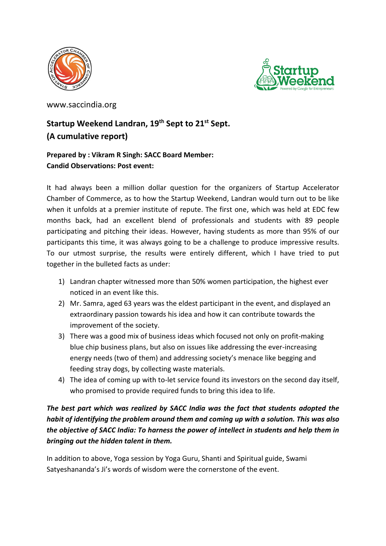



www.saccindia.org

## **Startup Weekend Landran, 19th Sept to 21st Sept. (A cumulative report)**

## **Prepared by : Vikram R Singh: SACC Board Member: Candid Observations: Post event:**

It had always been a million dollar question for the organizers of Startup Accelerator Chamber of Commerce, as to how the Startup Weekend, Landran would turn out to be like when it unfolds at a premier institute of repute. The first one, which was held at EDC few months back, had an excellent blend of professionals and students with 89 people participating and pitching their ideas. However, having students as more than 95% of our participants this time, it was always going to be a challenge to produce impressive results. To our utmost surprise, the results were entirely different, which I have tried to put together in the bulleted facts as under:

- 1) Landran chapter witnessed more than 50% women participation, the highest ever noticed in an event like this.
- 2) Mr. Samra, aged 63 years was the eldest participant in the event, and displayed an extraordinary passion towards his idea and how it can contribute towards the improvement of the society.
- 3) There was a good mix of business ideas which focused not only on profit-making blue chip business plans, but also on issues like addressing the ever-increasing energy needs (two of them) and addressing society's menace like begging and feeding stray dogs, by collecting waste materials.
- 4) The idea of coming up with to-let service found its investors on the second day itself, who promised to provide required funds to bring this idea to life.

## *The best part which was realized by SACC India was the fact that students adopted the habit of identifying the problem around them and coming up with a solution. This was also the objective of SACC India: To harness the power of intellect in students and help them in bringing out the hidden talent in them.*

In addition to above, Yoga session by Yoga Guru, Shanti and Spiritual guide, Swami Satyeshananda's Ji's words of wisdom were the cornerstone of the event.